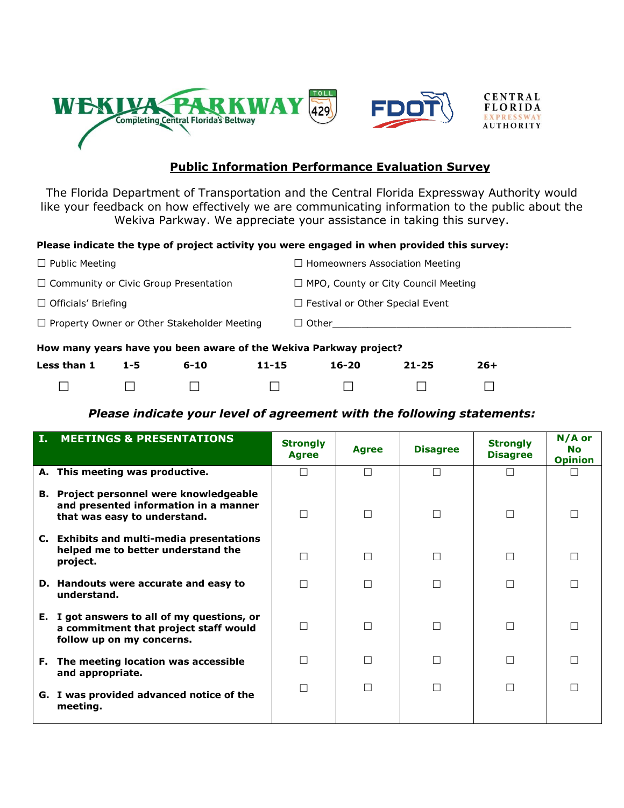

## **Public Information Performance Evaluation Survey**

The Florida Department of Transportation and the Central Florida Expressway Authority would like your feedback on how effectively we are communicating information to the public about the Wekiva Parkway. We appreciate your assistance in taking this survey.

## **Please indicate the type of project activity you were engaged in when provided this survey:**

|                                                                   | .                                          |  |  |  |  |
|-------------------------------------------------------------------|--------------------------------------------|--|--|--|--|
| How many years have you been aware of the Wekiva Parkway project? |                                            |  |  |  |  |
| $\Box$ Property Owner or Other Stakeholder Meeting                | $\Box$ Other                               |  |  |  |  |
| $\Box$ Officials' Briefing                                        | $\Box$ Festival or Other Special Event     |  |  |  |  |
| $\Box$ Community or Civic Group Presentation                      | $\Box$ MPO, County or City Council Meeting |  |  |  |  |
| $\Box$ Public Meeting                                             | $\Box$ Homeowners Association Meeting      |  |  |  |  |

| Less than 1 | $1-5$ | 6-10 | 11-15 | 16-20 | $21 - 25$ | 26+ |
|-------------|-------|------|-------|-------|-----------|-----|
|             |       |      |       |       |           |     |

## *Please indicate your level of agreement with the following statements:*

| Ι. | <b>MEETINGS &amp; PRESENTATIONS</b>                                                                                     | <b>Strongly</b><br><b>Agree</b> | <b>Agree</b> | <b>Disagree</b> | <b>Strongly</b><br><b>Disagree</b> | N/A or<br><b>No</b><br><b>Opinion</b> |
|----|-------------------------------------------------------------------------------------------------------------------------|---------------------------------|--------------|-----------------|------------------------------------|---------------------------------------|
|    | A. This meeting was productive.                                                                                         | П                               | $\Box$       |                 | $\Box$                             |                                       |
|    | <b>B.</b> Project personnel were knowledgeable<br>and presented information in a manner<br>that was easy to understand. | П                               | П            | П               | $\Box$                             |                                       |
|    | C. Exhibits and multi-media presentations<br>helped me to better understand the<br>project.                             |                                 |              |                 | $\Box$                             |                                       |
|    | D. Handouts were accurate and easy to<br>understand.                                                                    | П                               | П            | П               | $\Box$                             |                                       |
|    | E. I got answers to all of my questions, or<br>a commitment that project staff would<br>follow up on my concerns.       |                                 | П            |                 | $\Box$                             |                                       |
|    | F. The meeting location was accessible<br>and appropriate.                                                              | $\mathbf{I}$                    | П            | П               | $\Box$                             | П                                     |
|    | G. I was provided advanced notice of the<br>meeting.                                                                    |                                 | П            | П               | $\Box$                             |                                       |